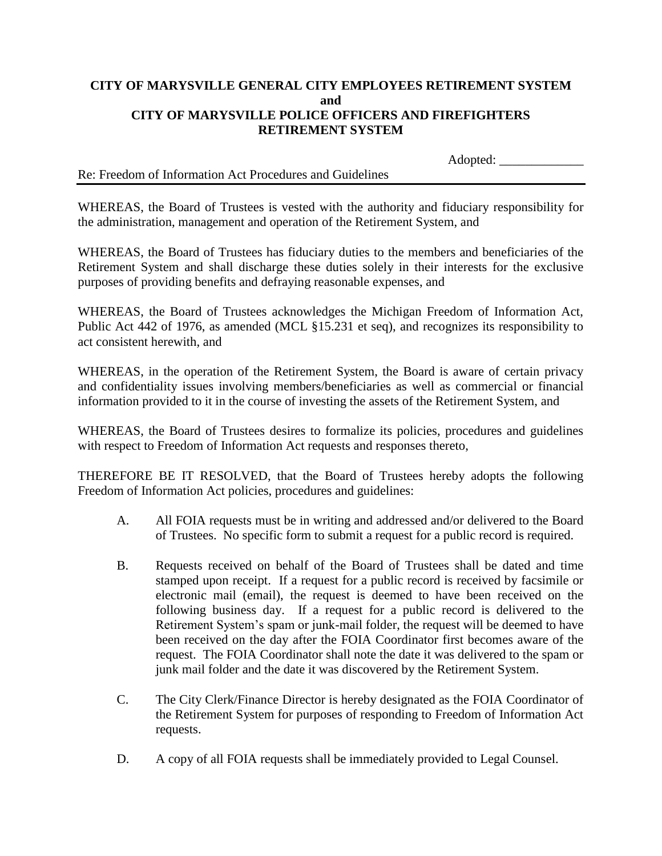## **CITY OF MARYSVILLE GENERAL CITY EMPLOYEES RETIREMENT SYSTEM and CITY OF MARYSVILLE POLICE OFFICERS AND FIREFIGHTERS RETIREMENT SYSTEM**

|                                                          | <i>i</i> www. |  |
|----------------------------------------------------------|---------------|--|
|                                                          |               |  |
| Re: Freedom of Information Act Procedures and Guidelines |               |  |

 $Ad$ onted:

WHEREAS, the Board of Trustees is vested with the authority and fiduciary responsibility for the administration, management and operation of the Retirement System, and

WHEREAS, the Board of Trustees has fiduciary duties to the members and beneficiaries of the Retirement System and shall discharge these duties solely in their interests for the exclusive purposes of providing benefits and defraying reasonable expenses, and

WHEREAS, the Board of Trustees acknowledges the Michigan Freedom of Information Act, Public Act 442 of 1976, as amended (MCL §15.231 et seq), and recognizes its responsibility to act consistent herewith, and

WHEREAS, in the operation of the Retirement System, the Board is aware of certain privacy and confidentiality issues involving members/beneficiaries as well as commercial or financial information provided to it in the course of investing the assets of the Retirement System, and

WHEREAS, the Board of Trustees desires to formalize its policies, procedures and guidelines with respect to Freedom of Information Act requests and responses thereto,

THEREFORE BE IT RESOLVED, that the Board of Trustees hereby adopts the following Freedom of Information Act policies, procedures and guidelines:

- A. All FOIA requests must be in writing and addressed and/or delivered to the Board of Trustees. No specific form to submit a request for a public record is required.
- B. Requests received on behalf of the Board of Trustees shall be dated and time stamped upon receipt. If a request for a public record is received by facsimile or electronic mail (email), the request is deemed to have been received on the following business day. If a request for a public record is delivered to the Retirement System's spam or junk-mail folder, the request will be deemed to have been received on the day after the FOIA Coordinator first becomes aware of the request. The FOIA Coordinator shall note the date it was delivered to the spam or junk mail folder and the date it was discovered by the Retirement System.
- C. The City Clerk/Finance Director is hereby designated as the FOIA Coordinator of the Retirement System for purposes of responding to Freedom of Information Act requests.
- D. A copy of all FOIA requests shall be immediately provided to Legal Counsel.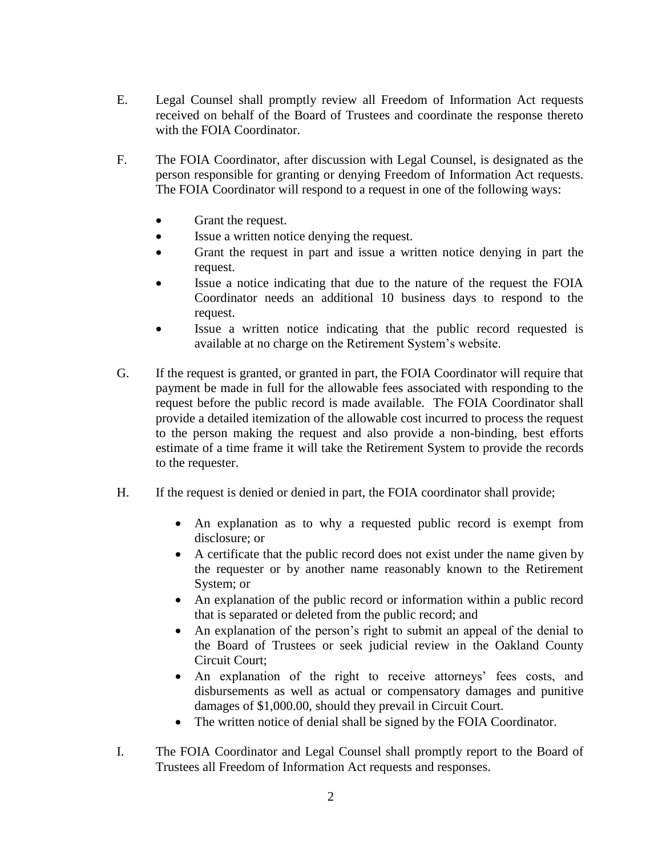- E. Legal Counsel shall promptly review all Freedom of Information Act requests received on behalf of the Board of Trustees and coordinate the response thereto with the FOIA Coordinator.
- F. The FOIA Coordinator, after discussion with Legal Counsel, is designated as the person responsible for granting or denying Freedom of Information Act requests. The FOIA Coordinator will respond to a request in one of the following ways:
	- Grant the request.
	- Issue a written notice denying the request.
	- Grant the request in part and issue a written notice denying in part the request.
	- Issue a notice indicating that due to the nature of the request the FOIA Coordinator needs an additional 10 business days to respond to the request.
	- Issue a written notice indicating that the public record requested is available at no charge on the Retirement System's website.
- G. If the request is granted, or granted in part, the FOIA Coordinator will require that payment be made in full for the allowable fees associated with responding to the request before the public record is made available. The FOIA Coordinator shall provide a detailed itemization of the allowable cost incurred to process the request to the person making the request and also provide a non-binding, best efforts estimate of a time frame it will take the Retirement System to provide the records to the requester.
- H. If the request is denied or denied in part, the FOIA coordinator shall provide;
	- An explanation as to why a requested public record is exempt from disclosure; or
	- A certificate that the public record does not exist under the name given by the requester or by another name reasonably known to the Retirement System; or
	- An explanation of the public record or information within a public record that is separated or deleted from the public record; and
	- An explanation of the person's right to submit an appeal of the denial to the Board of Trustees or seek judicial review in the Oakland County Circuit Court;
	- An explanation of the right to receive attorneys' fees costs, and disbursements as well as actual or compensatory damages and punitive damages of \$1,000.00, should they prevail in Circuit Court.
	- The written notice of denial shall be signed by the FOIA Coordinator.
- I. The FOIA Coordinator and Legal Counsel shall promptly report to the Board of Trustees all Freedom of Information Act requests and responses.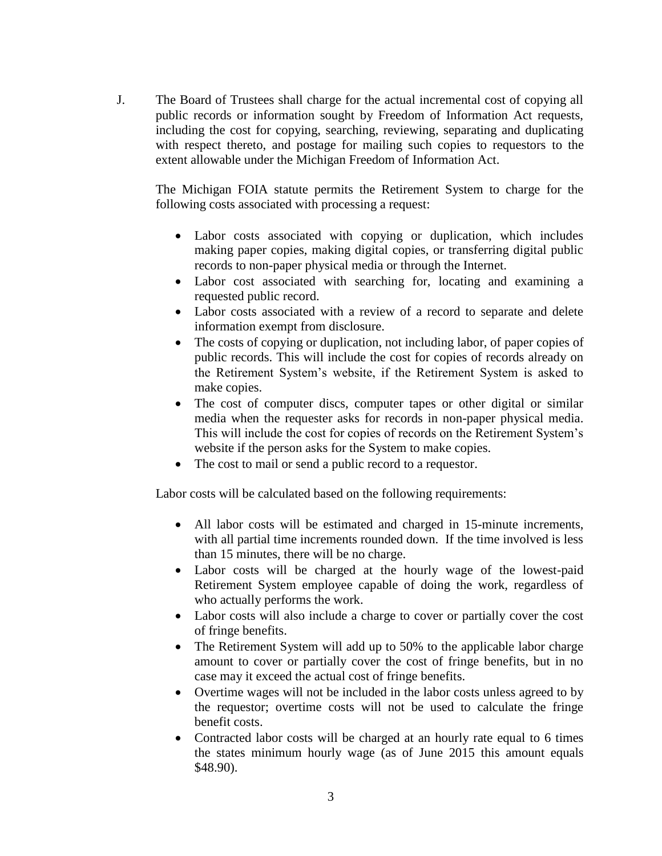J. The Board of Trustees shall charge for the actual incremental cost of copying all public records or information sought by Freedom of Information Act requests, including the cost for copying, searching, reviewing, separating and duplicating with respect thereto, and postage for mailing such copies to requestors to the extent allowable under the Michigan Freedom of Information Act.

The Michigan FOIA statute permits the Retirement System to charge for the following costs associated with processing a request:

- Labor costs associated with copying or duplication, which includes making paper copies, making digital copies, or transferring digital public records to non-paper physical media or through the Internet.
- Labor cost associated with searching for, locating and examining a requested public record.
- Labor costs associated with a review of a record to separate and delete information exempt from disclosure.
- The costs of copying or duplication, not including labor, of paper copies of public records. This will include the cost for copies of records already on the Retirement System's website, if the Retirement System is asked to make copies.
- The cost of computer discs, computer tapes or other digital or similar media when the requester asks for records in non-paper physical media. This will include the cost for copies of records on the Retirement System's website if the person asks for the System to make copies.
- The cost to mail or send a public record to a requestor.

Labor costs will be calculated based on the following requirements:

- All labor costs will be estimated and charged in 15-minute increments, with all partial time increments rounded down. If the time involved is less than 15 minutes, there will be no charge.
- Labor costs will be charged at the hourly wage of the lowest-paid Retirement System employee capable of doing the work, regardless of who actually performs the work.
- Labor costs will also include a charge to cover or partially cover the cost of fringe benefits.
- The Retirement System will add up to 50% to the applicable labor charge amount to cover or partially cover the cost of fringe benefits, but in no case may it exceed the actual cost of fringe benefits.
- Overtime wages will not be included in the labor costs unless agreed to by the requestor; overtime costs will not be used to calculate the fringe benefit costs.
- Contracted labor costs will be charged at an hourly rate equal to 6 times the states minimum hourly wage (as of June 2015 this amount equals \$48.90).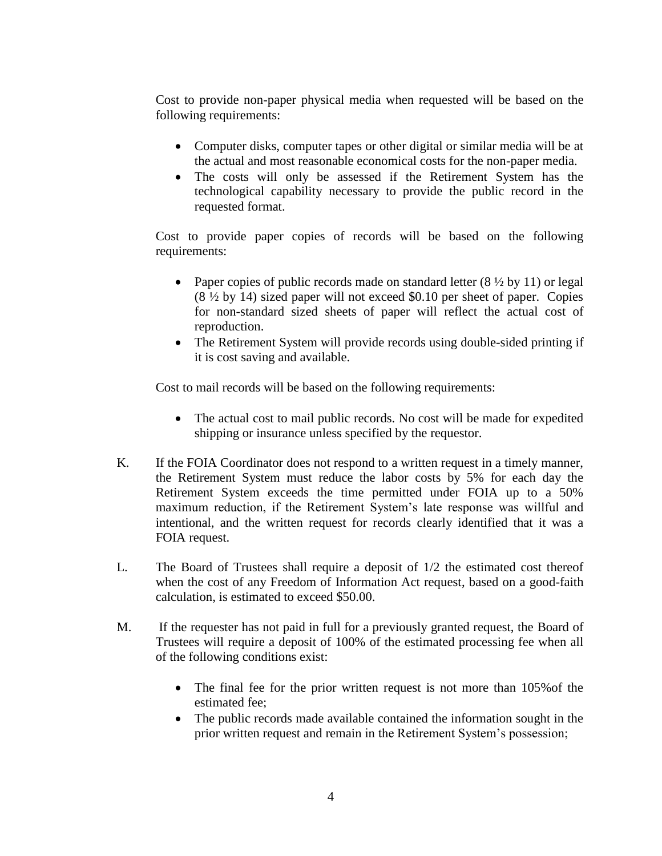Cost to provide non-paper physical media when requested will be based on the following requirements:

- Computer disks, computer tapes or other digital or similar media will be at the actual and most reasonable economical costs for the non-paper media.
- The costs will only be assessed if the Retirement System has the technological capability necessary to provide the public record in the requested format.

Cost to provide paper copies of records will be based on the following requirements:

- Paper copies of public records made on standard letter  $(8 \frac{1}{2} \text{ by } 11)$  or legal (8 ½ by 14) sized paper will not exceed \$0.10 per sheet of paper. Copies for non-standard sized sheets of paper will reflect the actual cost of reproduction.
- The Retirement System will provide records using double-sided printing if it is cost saving and available.

Cost to mail records will be based on the following requirements:

- The actual cost to mail public records. No cost will be made for expedited shipping or insurance unless specified by the requestor.
- K. If the FOIA Coordinator does not respond to a written request in a timely manner, the Retirement System must reduce the labor costs by 5% for each day the Retirement System exceeds the time permitted under FOIA up to a 50% maximum reduction, if the Retirement System's late response was willful and intentional, and the written request for records clearly identified that it was a FOIA request.
- L. The Board of Trustees shall require a deposit of 1/2 the estimated cost thereof when the cost of any Freedom of Information Act request, based on a good-faith calculation, is estimated to exceed \$50.00.
- M. If the requester has not paid in full for a previously granted request, the Board of Trustees will require a deposit of 100% of the estimated processing fee when all of the following conditions exist:
	- The final fee for the prior written request is not more than 105% of the estimated fee;
	- The public records made available contained the information sought in the prior written request and remain in the Retirement System's possession;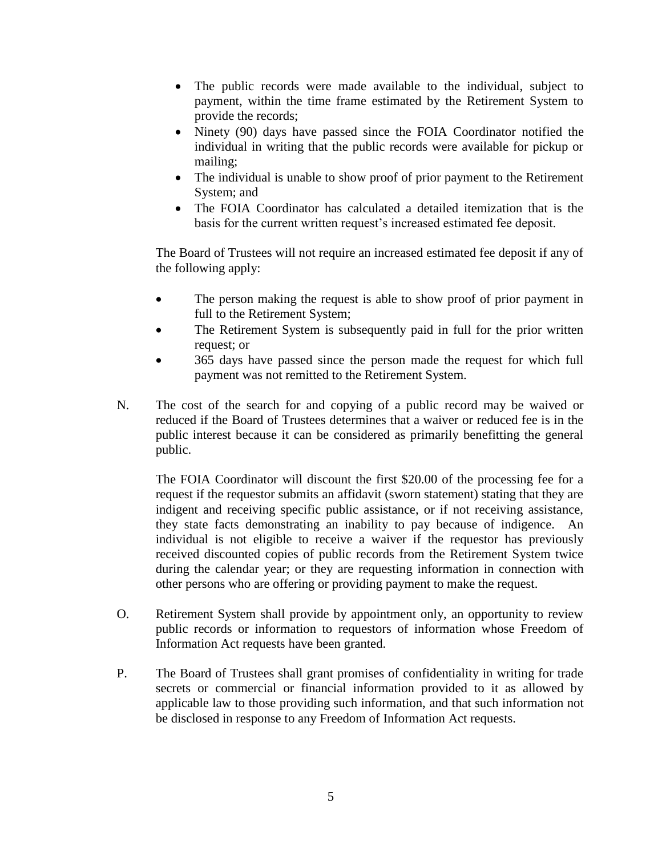- The public records were made available to the individual, subject to payment, within the time frame estimated by the Retirement System to provide the records;
- Ninety (90) days have passed since the FOIA Coordinator notified the individual in writing that the public records were available for pickup or mailing;
- The individual is unable to show proof of prior payment to the Retirement System; and
- The FOIA Coordinator has calculated a detailed itemization that is the basis for the current written request's increased estimated fee deposit.

The Board of Trustees will not require an increased estimated fee deposit if any of the following apply:

- The person making the request is able to show proof of prior payment in full to the Retirement System;
- The Retirement System is subsequently paid in full for the prior written request; or
- 365 days have passed since the person made the request for which full payment was not remitted to the Retirement System.
- N. The cost of the search for and copying of a public record may be waived or reduced if the Board of Trustees determines that a waiver or reduced fee is in the public interest because it can be considered as primarily benefitting the general public.

The FOIA Coordinator will discount the first \$20.00 of the processing fee for a request if the requestor submits an affidavit (sworn statement) stating that they are indigent and receiving specific public assistance, or if not receiving assistance, they state facts demonstrating an inability to pay because of indigence. An individual is not eligible to receive a waiver if the requestor has previously received discounted copies of public records from the Retirement System twice during the calendar year; or they are requesting information in connection with other persons who are offering or providing payment to make the request.

- O. Retirement System shall provide by appointment only, an opportunity to review public records or information to requestors of information whose Freedom of Information Act requests have been granted.
- P. The Board of Trustees shall grant promises of confidentiality in writing for trade secrets or commercial or financial information provided to it as allowed by applicable law to those providing such information, and that such information not be disclosed in response to any Freedom of Information Act requests.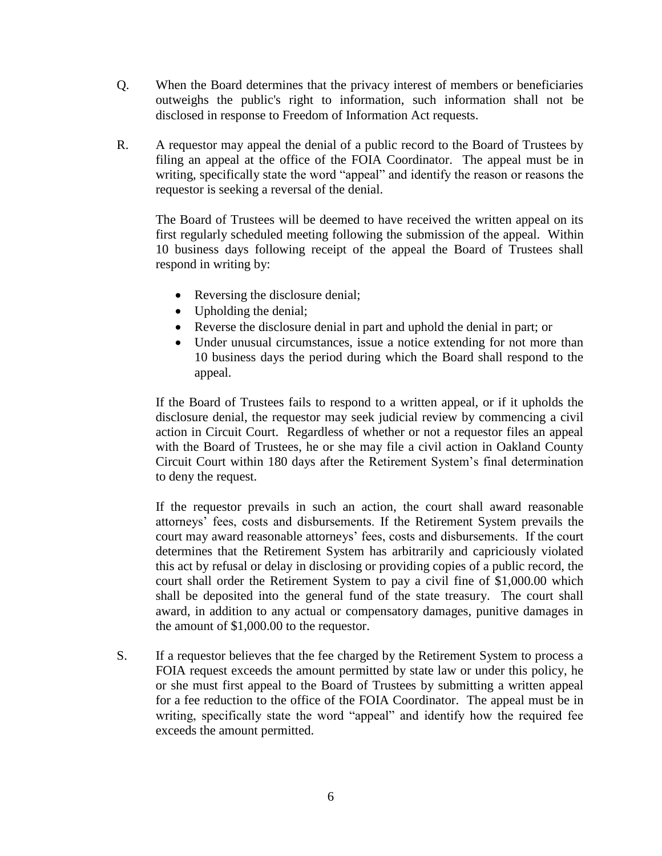- Q. When the Board determines that the privacy interest of members or beneficiaries outweighs the public's right to information, such information shall not be disclosed in response to Freedom of Information Act requests.
- R. A requestor may appeal the denial of a public record to the Board of Trustees by filing an appeal at the office of the FOIA Coordinator. The appeal must be in writing, specifically state the word "appeal" and identify the reason or reasons the requestor is seeking a reversal of the denial.

The Board of Trustees will be deemed to have received the written appeal on its first regularly scheduled meeting following the submission of the appeal. Within 10 business days following receipt of the appeal the Board of Trustees shall respond in writing by:

- Reversing the disclosure denial;
- Upholding the denial;
- Reverse the disclosure denial in part and uphold the denial in part; or
- Under unusual circumstances, issue a notice extending for not more than 10 business days the period during which the Board shall respond to the appeal.

If the Board of Trustees fails to respond to a written appeal, or if it upholds the disclosure denial, the requestor may seek judicial review by commencing a civil action in Circuit Court. Regardless of whether or not a requestor files an appeal with the Board of Trustees, he or she may file a civil action in Oakland County Circuit Court within 180 days after the Retirement System's final determination to deny the request.

If the requestor prevails in such an action, the court shall award reasonable attorneys' fees, costs and disbursements. If the Retirement System prevails the court may award reasonable attorneys' fees, costs and disbursements. If the court determines that the Retirement System has arbitrarily and capriciously violated this act by refusal or delay in disclosing or providing copies of a public record, the court shall order the Retirement System to pay a civil fine of \$1,000.00 which shall be deposited into the general fund of the state treasury. The court shall award, in addition to any actual or compensatory damages, punitive damages in the amount of \$1,000.00 to the requestor.

S. If a requestor believes that the fee charged by the Retirement System to process a FOIA request exceeds the amount permitted by state law or under this policy, he or she must first appeal to the Board of Trustees by submitting a written appeal for a fee reduction to the office of the FOIA Coordinator. The appeal must be in writing, specifically state the word "appeal" and identify how the required fee exceeds the amount permitted.